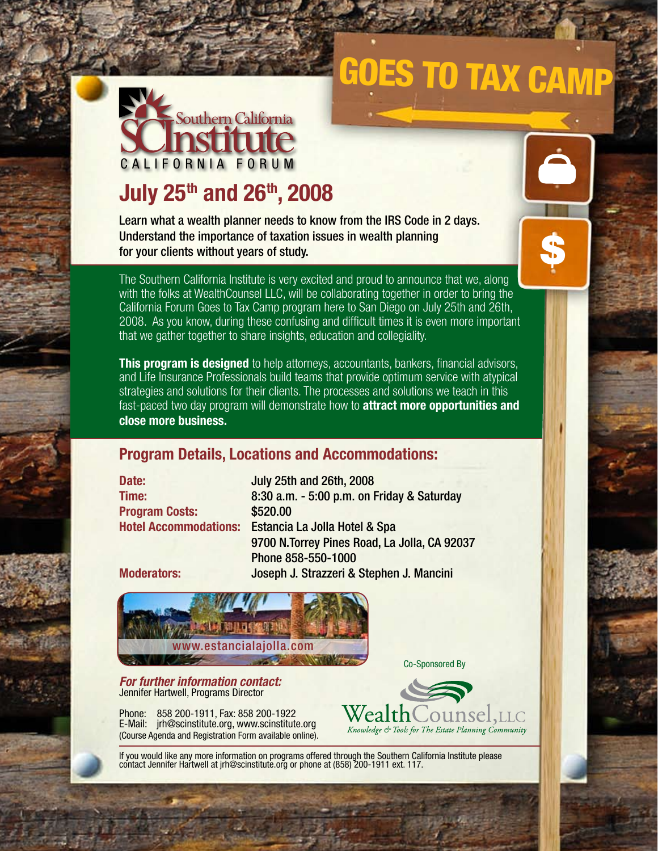# Goes to Tax Camp

\$



## **July 25th and 26th, 2008**

Learn what a wealth planner needs to know from the IRS Code in 2 days. Understand the importance of taxation issues in wealth planning for your clients without years of study.

The Southern California Institute is very excited and proud to announce that we, along with the folks at WealthCounsel LLC, will be collaborating together in order to bring the California Forum Goes to Tax Camp program here to San Diego on July 25th and 26th, 2008. As you know, during these confusing and difficult times it is even more important that we gather together to share insights, education and collegiality.

**This program is designed** to help attorneys, accountants, bankers, financial advisors, and Life Insurance Professionals build teams that provide optimum service with atypical strategies and solutions for their clients. The processes and solutions we teach in this fast-paced two day program will demonstrate how to **attract more opportunities and close more business.**

#### **Program Details, Locations and Accommodations:**

**Date:** July 25th and 26th, 2008 **Program Costs:** \$520.00

**Time:** 8:30 a.m. - 5:00 p.m. on Friday & Saturday **Hotel Accommodations:** Estancia La Jolla Hotel & Spa 9700 N.Torrey Pines Road, La Jolla, CA 92037 Phone 858-550-1000 **Moderators:** Joseph J. Strazzeri & Stephen J. Mancini



*For further information contact:* Jennifer Hartwell, Programs Director

Phone: 858 200-1911, Fax: 858 200-1922 E-Mail: jrh@scinstitute.org, www.scinstitute.org (Course Agenda and Registration Form available online).



Co-Sponsored By

If you would like any more information on programs offered through the Southern California Institute please contact Jennifer Hartwell at jrh@scinstitute.org or phone at (858) 200-1911 ext. 117.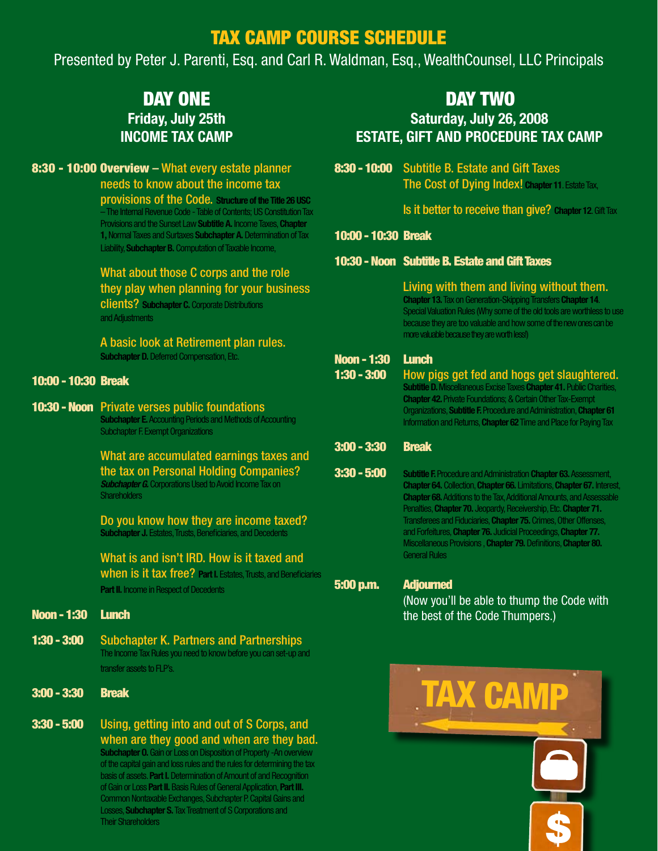### TAX CAMP COURSE SCHEDULE

Presented by Peter J. Parenti, Esq. and Carl R. Waldman, Esq., WealthCounsel, LLC Principals

### DAY ONE **Friday, July 25th INCOME TAX CAMP**

#### 8:30 - 10:00 Overview – What every estate planner needs to know about the income tax

provisions of the Code. **Structure of the Title 26 USC** – The Internal Revenue Code - Table of Contents; US Constitution Tax Provisions and the Sunset Law **Subtitle A.** Income Taxes, **Chapter 1,** Normal Taxes and Surtaxes **Subchapter A.** Determination of Tax Liability, **Subchapter B.** Computation of Taxable Income,

#### What about those C corps and the role they play when planning for your business

clients? **Subchapter C.** Corporate Distributions and Adjustments

A basic look at Retirement plan rules. **Subchapter D.** Deferred Compensation, Etc.

#### 10:00 - 10:30 Break

#### 10:30 - Noon Private verses public foundations **Subchapter E.** Accounting Periods and Methods of Accounting

Subchapter F. Exempt Organizations

What are accumulated earnings taxes and the tax on Personal Holding Companies? **Subchapter G.** Corporations Used to Avoid Income Tax on **Shareholders** 

Do you know how they are income taxed? **Subchapter J. Estates, Trusts, Beneficiaries, and Decedents** 

What is and isn't IRD. How is it taxed and when is it tax free? **Part I.** Estates, Trusts, and Beneficiaries **Part II.** Income in Respect of Decedents

#### Noon - 1:30 Lunch

- 1:30 3:00 Subchapter K. Partners and Partnerships The Income Tax Rules you need to know before you can set-up and transfer assets to FLP's.
- 3:00 3:30 Break
- **3:30 5:00** Using, getting into and out of S Corps, and when are they good and when are they bad. **Subchapter O.** Gain or Loss on Disposition of Property -An overview of the capital gain and loss rules and the rules for determining the tax basis of assets. **Part I.** Determination of Amount of and Recognition of Gain or Loss **Part II.** Basis Rules of General Application, **Part III.** Common Nontaxable Exchanges, Subchapter P. Capital Gains and Losses, **Subchapter S.** Tax Treatment of S Corporations and Their Shareholders

#### DAY TWO

#### **Saturday, July 26, 2008 ESTATE, GIFT AND PROCEDURE TAX CAMP**

8:30 - 10:00 Subtitle B. Estate and Gift Taxes The Cost of Dying Index! **Chapter 11**. Estate Tax,

Is it better to receive than give? **Chapter 12**. Gift Tax

#### 10:00 - 10:30 Break

#### 10:30 - Noon Subtitle B. Estate and Gift Taxes

#### Living with them and living without them. **Chapter 13.** Tax on Generation-Skipping Transfers **Chapter 14**.

Special Valuation Rules (Why some of the old tools are worthless to use because they are too valuable and how some of the new ones can be more valuable because they are worth less!)

#### Noon - 1:30 Lunch

1:30 - 3:00 How pigs get fed and hogs get slaughtered. **Subtitle D.** Miscellaneous Excise Taxes **Chapter 41.** Public Charities, **Chapter 42.** Private Foundations; & Certain Other Tax-Exempt Organizations, **Subtitle F.** Procedure and Administration, **Chapter 61** Information and Returns, **Chapter 62** Time and Place for Paying Tax

#### 3:00 - 3:30 Break

3:30 - 5:00 **Subtitle F.** Procedure and Administration **Chapter 63.** Assessment,

**Chapter 64.** Collection, **Chapter 66.** Limitations, **Chapter 67.** Interest, **Chapter 68.** Additions to the Tax, Additional Amounts, and Assessable Penalties, **Chapter 70.** Jeopardy, Receivership, Etc. **Chapter 71.**  Transferees and Fiduciaries, **Chapter 75.** Crimes, Other Offenses, and Forfeitures, **Chapter 76.** Judicial Proceedings, **Chapter 77.**  Miscellaneous Provisions , **Chapter 79.** Definitions, **Chapter 80.**  General Rules

#### 5:00 p.m. Adjourned

(Now you'll be able to thump the Code with the best of the Code Thumpers.)